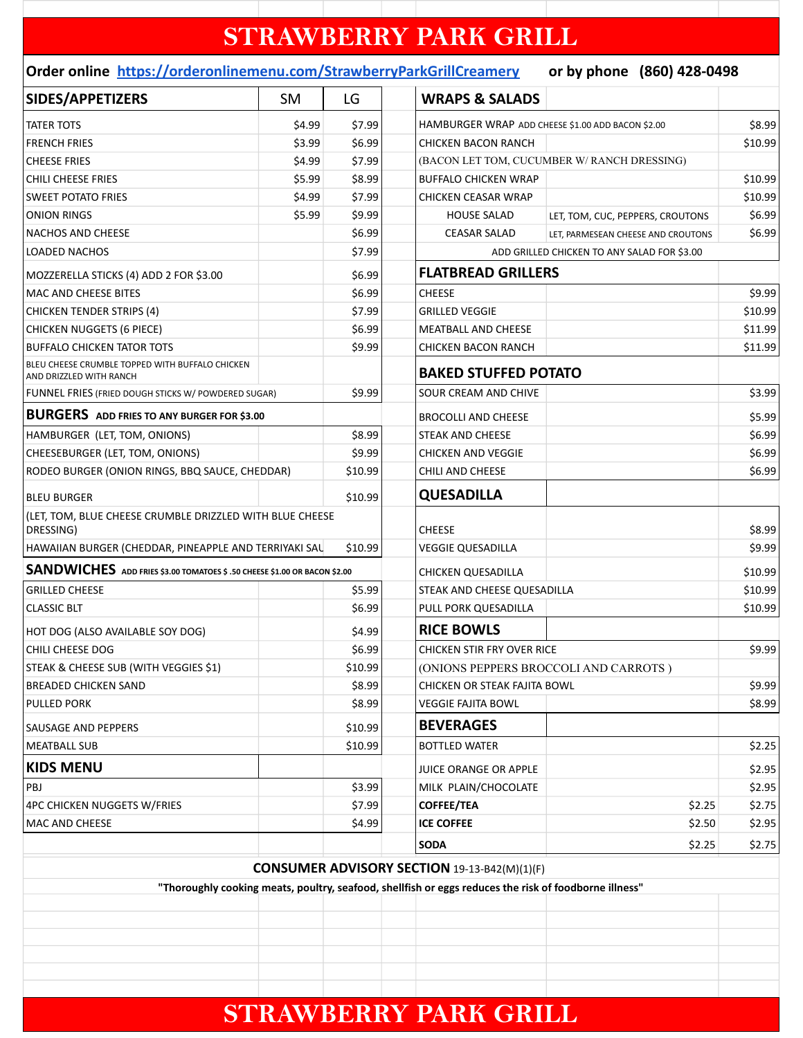## **STRAWBERRY PARK GRILL**

## **Order online https://orderonlinemenu.com/StrawberryParkGrillCreamery or by phone (860) 428-0498**

| SIDES/APPETIZERS                                                           | <b>SM</b> | LG                       | <b>WRAPS &amp; SALADS</b>                                                                             |                                             |         |
|----------------------------------------------------------------------------|-----------|--------------------------|-------------------------------------------------------------------------------------------------------|---------------------------------------------|---------|
| <b>TATER TOTS</b>                                                          | \$4.99    | \$7.99                   | HAMBURGER WRAP ADD CHEESE \$1.00 ADD BACON \$2.00                                                     |                                             | \$8.99  |
| <b>FRENCH FRIES</b>                                                        | \$3.99    | \$6.99                   | <b>CHICKEN BACON RANCH</b>                                                                            |                                             | \$10.99 |
| <b>CHEESE FRIES</b>                                                        | \$4.99    | \$7.99                   | (BACON LET TOM, CUCUMBER W/ RANCH DRESSING)                                                           |                                             |         |
| <b>CHILI CHEESE FRIES</b>                                                  | \$5.99    | \$8.99                   | <b>BUFFALO CHICKEN WRAP</b>                                                                           |                                             | \$10.99 |
| <b>SWEET POTATO FRIES</b>                                                  | \$4.99    | \$7.99                   | <b>CHICKEN CEASAR WRAP</b>                                                                            |                                             | \$10.99 |
| <b>ONION RINGS</b>                                                         | \$5.99    | \$9.99                   | <b>HOUSE SALAD</b>                                                                                    | LET, TOM, CUC, PEPPERS, CROUTONS            | \$6.99  |
| NACHOS AND CHEESE                                                          |           | \$6.99                   | <b>CEASAR SALAD</b>                                                                                   | LET, PARMESEAN CHEESE AND CROUTONS          | \$6.99  |
| <b>LOADED NACHOS</b>                                                       |           | \$7.99                   |                                                                                                       | ADD GRILLED CHICKEN TO ANY SALAD FOR \$3.00 |         |
| MOZZERELLA STICKS (4) ADD 2 FOR \$3.00                                     |           | \$6.99                   |                                                                                                       | <b>FLATBREAD GRILLERS</b>                   |         |
| MAC AND CHEESE BITES                                                       |           | \$6.99                   | <b>CHEESE</b>                                                                                         |                                             | \$9.99  |
| <b>CHICKEN TENDER STRIPS (4)</b>                                           |           | \$7.99                   | <b>GRILLED VEGGIE</b>                                                                                 |                                             | \$10.99 |
| <b>CHICKEN NUGGETS (6 PIECE)</b>                                           |           | \$6.99                   | <b>MEATBALL AND CHEESE</b>                                                                            |                                             | \$11.99 |
| <b>BUFFALO CHICKEN TATOR TOTS</b>                                          |           | \$9.99                   | <b>CHICKEN BACON RANCH</b>                                                                            |                                             | \$11.99 |
| BLEU CHEESE CRUMBLE TOPPED WITH BUFFALO CHICKEN<br>AND DRIZZLED WITH RANCH |           |                          |                                                                                                       | <b>BAKED STUFFED POTATO</b>                 |         |
| FUNNEL FRIES (FRIED DOUGH STICKS W/ POWDERED SUGAR)                        |           | \$9.99                   | SOUR CREAM AND CHIVE                                                                                  |                                             | \$3.99  |
| <b>BURGERS</b> ADD FRIES TO ANY BURGER FOR \$3.00                          |           |                          | <b>BROCOLLI AND CHEESE</b>                                                                            |                                             | \$5.99  |
| HAMBURGER (LET, TOM, ONIONS)                                               |           | \$8.99                   | STEAK AND CHEESE                                                                                      |                                             | \$6.99  |
| CHEESEBURGER (LET, TOM, ONIONS)                                            |           | \$9.99                   | <b>CHICKEN AND VEGGIE</b>                                                                             |                                             | \$6.99  |
| RODEO BURGER (ONION RINGS, BBQ SAUCE, CHEDDAR)                             |           | \$10.99                  | <b>CHILI AND CHEESE</b>                                                                               |                                             | \$6.99  |
| <b>BLEU BURGER</b>                                                         |           | \$10.99                  | <b>QUESADILLA</b>                                                                                     |                                             |         |
| (LET, TOM, BLUE CHEESE CRUMBLE DRIZZLED WITH BLUE CHEESE<br>DRESSING)      |           |                          | <b>CHEESE</b>                                                                                         |                                             | \$8.99  |
| HAWAIIAN BURGER (CHEDDAR, PINEAPPLE AND TERRIYAKI SAL<br>\$10.99           |           | <b>VEGGIE QUESADILLA</b> |                                                                                                       | \$9.99                                      |         |
| SANDWICHES ADD FRIES \$3.00 TOMATOES \$ .50 CHEESE \$1.00 OR BACON \$2.00  |           |                          | <b>CHICKEN QUESADILLA</b>                                                                             |                                             | \$10.99 |
| <b>GRILLED CHEESE</b>                                                      |           | \$5.99                   | STEAK AND CHEESE QUESADILLA                                                                           |                                             | \$10.99 |
| <b>CLASSIC BLT</b>                                                         |           | \$6.99                   | PULL PORK QUESADILLA                                                                                  |                                             | \$10.99 |
| HOT DOG (ALSO AVAILABLE SOY DOG)                                           |           | \$4.99                   | <b>RICE BOWLS</b>                                                                                     |                                             |         |
| CHILI CHEESE DOG                                                           |           | \$6.99                   | <b>CHICKEN STIR FRY OVER RICE</b>                                                                     |                                             | \$9.99  |
| STEAK & CHEESE SUB (WITH VEGGIES \$1)                                      |           | \$10.99                  | (ONIONS PEPPERS BROCCOLI AND CARROTS)                                                                 |                                             |         |
| <b>BREADED CHICKEN SAND</b>                                                |           | \$8.99                   | CHICKEN OR STEAK FAJITA BOWL                                                                          |                                             | \$9.99  |
| <b>PULLED PORK</b>                                                         |           | \$8.99                   | <b>VEGGIE FAJITA BOWL</b>                                                                             |                                             | \$8.99  |
| SAUSAGE AND PEPPERS                                                        |           | \$10.99                  | <b>BEVERAGES</b>                                                                                      |                                             |         |
| <b>MEATBALL SUB</b>                                                        |           | \$10.99                  | <b>BOTTLED WATER</b>                                                                                  |                                             | \$2.25  |
| <b>KIDS MENU</b>                                                           |           |                          |                                                                                                       |                                             |         |
|                                                                            |           |                          | <b>JUICE ORANGE OR APPLE</b>                                                                          |                                             | \$2.95  |
| PBJ                                                                        |           | \$3.99                   | MILK PLAIN/CHOCOLATE                                                                                  |                                             | \$2.95  |
| 4PC CHICKEN NUGGETS W/FRIES                                                |           | \$7.99                   | <b>COFFEE/TEA</b>                                                                                     | \$2.25                                      | \$2.75  |
| <b>MAC AND CHEESE</b>                                                      |           | \$4.99                   | <b>ICE COFFEE</b>                                                                                     | \$2.50                                      | \$2.95  |
|                                                                            |           |                          | <b>SODA</b>                                                                                           | \$2.25                                      | \$2.75  |
|                                                                            |           |                          | <b>CONSUMER ADVISORY SECTION 19-13-B42(M)(1)(F)</b>                                                   |                                             |         |
|                                                                            |           |                          | "Thoroughly cooking meats, poultry, seafood, shellfish or eggs reduces the risk of foodborne illness" |                                             |         |
|                                                                            |           |                          |                                                                                                       |                                             |         |
|                                                                            |           |                          |                                                                                                       |                                             |         |
|                                                                            |           |                          |                                                                                                       |                                             |         |
|                                                                            |           |                          |                                                                                                       |                                             |         |
|                                                                            |           |                          |                                                                                                       |                                             |         |
|                                                                            |           |                          |                                                                                                       |                                             |         |
|                                                                            |           |                          | <b>STRAWBERRY PARK GRILL</b>                                                                          |                                             |         |